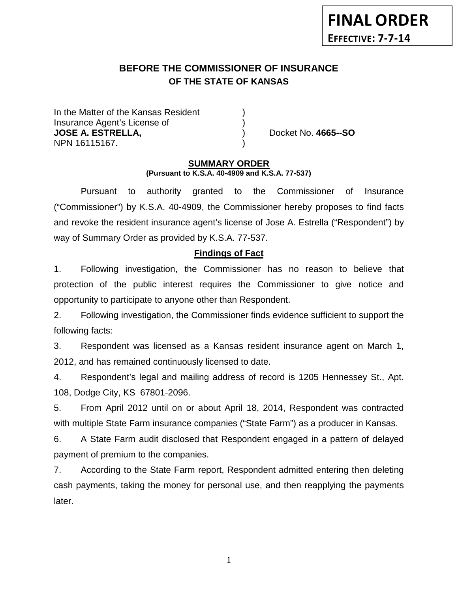# **BEFORE THE COMMISSIONER OF INSURANCE OF THE STATE OF KANSAS**

In the Matter of the Kansas Resident Insurance Agent's License of ) **JOSE A. ESTRELLA,** ) Docket No. **4665--SO** NPN 16115167. )

#### **SUMMARY ORDER (Pursuant to K.S.A. 40-4909 and K.S.A. 77-537)**

Pursuant to authority granted to the Commissioner of Insurance ("Commissioner") by K.S.A. 40-4909, the Commissioner hereby proposes to find facts and revoke the resident insurance agent's license of Jose A. Estrella ("Respondent") by way of Summary Order as provided by K.S.A. 77-537.

# **Findings of Fact**

1. Following investigation, the Commissioner has no reason to believe that protection of the public interest requires the Commissioner to give notice and opportunity to participate to anyone other than Respondent.

2. Following investigation, the Commissioner finds evidence sufficient to support the following facts:

3. Respondent was licensed as a Kansas resident insurance agent on March 1, 2012, and has remained continuously licensed to date.

4. Respondent's legal and mailing address of record is 1205 Hennessey St., Apt. 108, Dodge City, KS 67801-2096.

5. From April 2012 until on or about April 18, 2014, Respondent was contracted with multiple State Farm insurance companies ("State Farm") as a producer in Kansas.

6. A State Farm audit disclosed that Respondent engaged in a pattern of delayed payment of premium to the companies.

7. According to the State Farm report, Respondent admitted entering then deleting cash payments, taking the money for personal use, and then reapplying the payments later.

1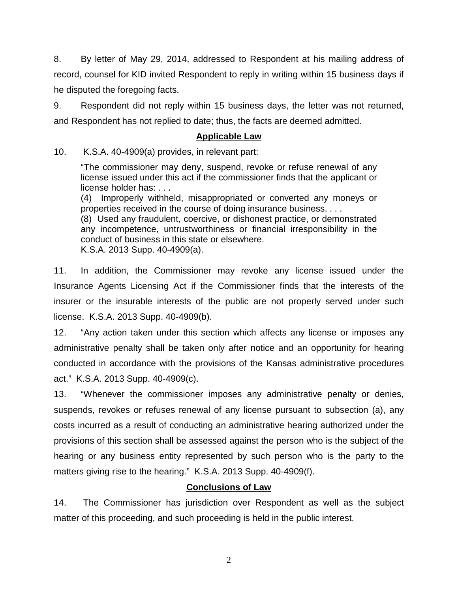8. By letter of May 29, 2014, addressed to Respondent at his mailing address of record, counsel for KID invited Respondent to reply in writing within 15 business days if he disputed the foregoing facts.

9. Respondent did not reply within 15 business days, the letter was not returned, and Respondent has not replied to date; thus, the facts are deemed admitted.

#### **Applicable Law**

10. K.S.A. 40-4909(a) provides, in relevant part:

"The commissioner may deny, suspend, revoke or refuse renewal of any license issued under this act if the commissioner finds that the applicant or license holder has: . . .

(4) Improperly withheld, misappropriated or converted any moneys or properties received in the course of doing insurance business. . . . (8) Used any fraudulent, coercive, or dishonest practice, or demonstrated

any incompetence, untrustworthiness or financial irresponsibility in the conduct of business in this state or elsewhere. K.S.A. 2013 Supp. 40-4909(a).

11. In addition, the Commissioner may revoke any license issued under the Insurance Agents Licensing Act if the Commissioner finds that the interests of the insurer or the insurable interests of the public are not properly served under such

license. K.S.A. 2013 Supp. 40-4909(b).

12. "Any action taken under this section which affects any license or imposes any administrative penalty shall be taken only after notice and an opportunity for hearing conducted in accordance with the provisions of the Kansas administrative procedures act." K.S.A. 2013 Supp. 40-4909(c).

13. "Whenever the commissioner imposes any administrative penalty or denies, suspends, revokes or refuses renewal of any license pursuant to subsection (a), any costs incurred as a result of conducting an administrative hearing authorized under the provisions of this section shall be assessed against the person who is the subject of the hearing or any business entity represented by such person who is the party to the matters giving rise to the hearing." K.S.A. 2013 Supp. 40-4909(f).

# **Conclusions of Law**

14. The Commissioner has jurisdiction over Respondent as well as the subject matter of this proceeding, and such proceeding is held in the public interest.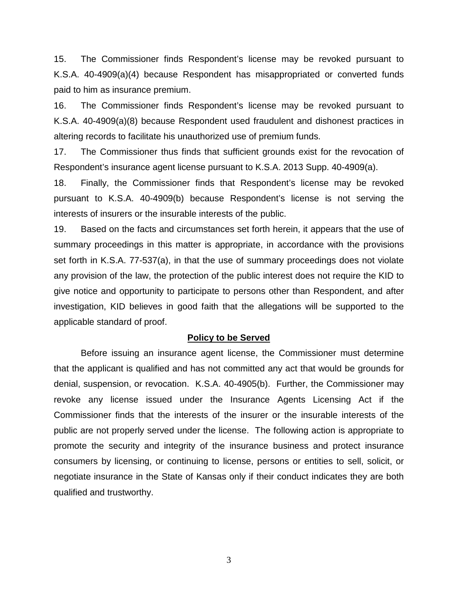15. The Commissioner finds Respondent's license may be revoked pursuant to K.S.A. 40-4909(a)(4) because Respondent has misappropriated or converted funds paid to him as insurance premium.

16. The Commissioner finds Respondent's license may be revoked pursuant to K.S.A. 40-4909(a)(8) because Respondent used fraudulent and dishonest practices in altering records to facilitate his unauthorized use of premium funds.

17. The Commissioner thus finds that sufficient grounds exist for the revocation of Respondent's insurance agent license pursuant to K.S.A. 2013 Supp. 40-4909(a).

18. Finally, the Commissioner finds that Respondent's license may be revoked pursuant to K.S.A. 40-4909(b) because Respondent's license is not serving the interests of insurers or the insurable interests of the public.

19. Based on the facts and circumstances set forth herein, it appears that the use of summary proceedings in this matter is appropriate, in accordance with the provisions set forth in K.S.A. 77-537(a), in that the use of summary proceedings does not violate any provision of the law, the protection of the public interest does not require the KID to give notice and opportunity to participate to persons other than Respondent, and after investigation, KID believes in good faith that the allegations will be supported to the applicable standard of proof.

#### **Policy to be Served**

Before issuing an insurance agent license, the Commissioner must determine that the applicant is qualified and has not committed any act that would be grounds for denial, suspension, or revocation. K.S.A. 40-4905(b). Further, the Commissioner may revoke any license issued under the Insurance Agents Licensing Act if the Commissioner finds that the interests of the insurer or the insurable interests of the public are not properly served under the license. The following action is appropriate to promote the security and integrity of the insurance business and protect insurance consumers by licensing, or continuing to license, persons or entities to sell, solicit, or negotiate insurance in the State of Kansas only if their conduct indicates they are both qualified and trustworthy.

3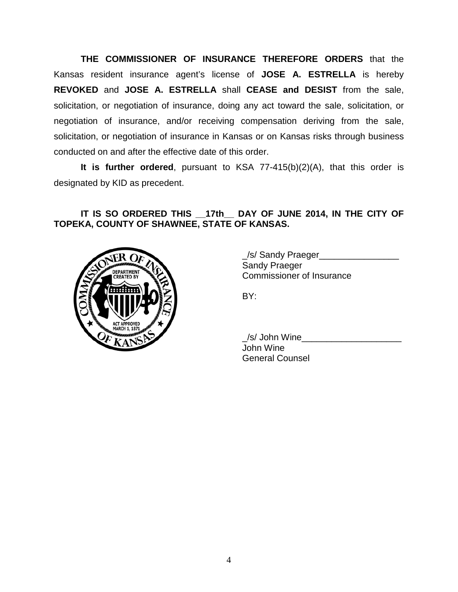**THE COMMISSIONER OF INSURANCE THEREFORE ORDERS** that the Kansas resident insurance agent's license of **JOSE A. ESTRELLA** is hereby **REVOKED** and **JOSE A. ESTRELLA** shall **CEASE and DESIST** from the sale, solicitation, or negotiation of insurance, doing any act toward the sale, solicitation, or negotiation of insurance, and/or receiving compensation deriving from the sale, solicitation, or negotiation of insurance in Kansas or on Kansas risks through business conducted on and after the effective date of this order.

**It is further ordered**, pursuant to KSA 77-415(b)(2)(A), that this order is designated by KID as precedent.

# **IT IS SO ORDERED THIS \_\_17th\_\_ DAY OF JUNE 2014, IN THE CITY OF TOPEKA, COUNTY OF SHAWNEE, STATE OF KANSAS.**



\_/s/ Sandy Praeger\_\_\_\_\_\_\_\_\_\_\_\_\_\_\_\_ Sandy Praeger Commissioner of Insurance

BY:

| /s/ John Wine          |  |
|------------------------|--|
| John Wine              |  |
| <b>General Counsel</b> |  |